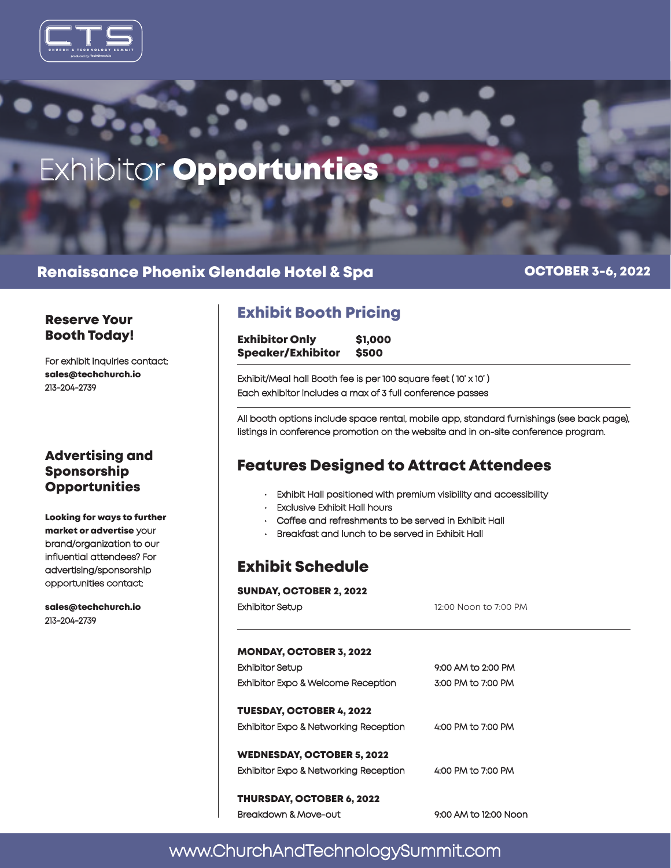



### Renaissance Phoenix Glendale Hotel & Spa

OCTOBER 3-6, 2022

# Booth Today!

For exhibit inquiries contact: sales@techchurch.io 213-204-2739

### Advertising and Sponsorship **Opportunities**

Looking for ways to further market or advertise your brand/organization to our influential attendees? For advertising/sponsorship opportunities contact:

sales@techchurch.io 213-204-2739

# Exhibit Booth Pricing Reserve Your

Exhibitor Only \$1,000 Speaker/Exhibitor \$500

Exhibit/Meal hall Booth fee is per 100 square feet ( 10' x 10' ) Each exhibitor includes a max of 3 full conference passes

All booth options include space rental, mobile app, standard furnishings (see back page), listings in conference promotion on the website and in on-site conference program.

# Features Designed to Attract Attendees

- Exhibit Hall positioned with premium visibility and accessibility
- **Exclusive Exhibit Hall hours**
- Coffee and refreshments to be served in Exhibit Hall
- Breakfast and lunch to be served in Exhibit Hall

# Exhibit Schedule

SUNDAY, OCTOBER 2, 2022

| Exhibitor Setup                       | 12:00 Noon to 7:00 PM |  |
|---------------------------------------|-----------------------|--|
|                                       |                       |  |
| <b>MONDAY, OCTOBER 3, 2022</b>        |                       |  |
| Exhibitor Setup                       | 9:00 AM to 2:00 PM    |  |
| Exhibitor Expo & Welcome Reception    | 3:00 PM to 7:00 PM    |  |
| TUESDAY, OCTOBER 4, 2022              |                       |  |
| Exhibitor Expo & Networking Reception | 4:00 PM to 7:00 PM    |  |
| WEDNESDAY, OCTOBER 5, 2022            |                       |  |
| Exhibitor Expo & Networking Reception | 4:00 PM to 7:00 PM    |  |
| THURSDAY, OCTOBER 6, 2022             |                       |  |
| Breakdown & Move-out                  | 9:00 AM to 12:00 Noon |  |
|                                       |                       |  |

# www.ChurchAndTechnologySummit.com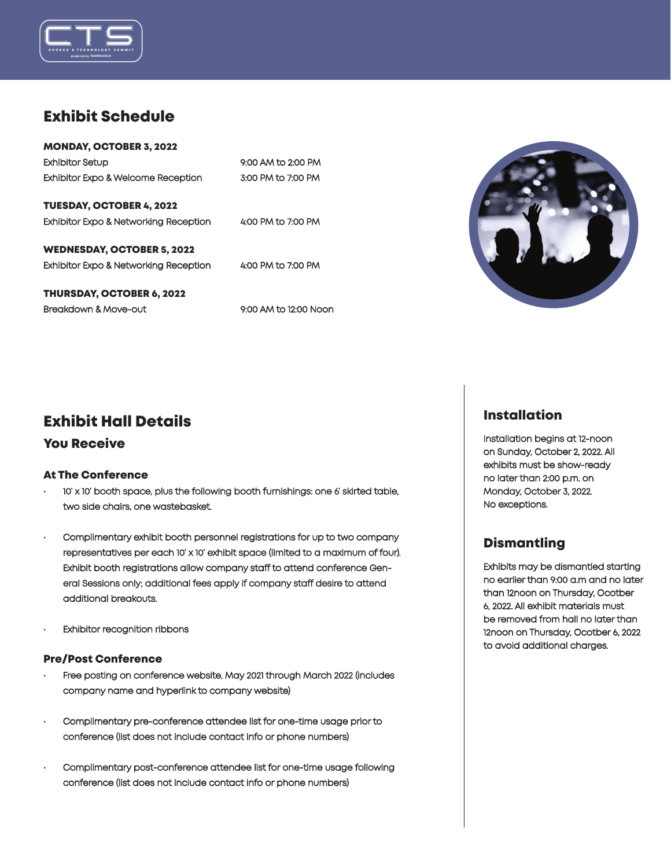

# Exhibit Schedule

| <b>MONDAY, OCTOBER 3, 2022</b>        |                    |
|---------------------------------------|--------------------|
| <b>Exhibitor Setup</b>                | 9:00 AM to 2:00 PM |
| Exhibitor Expo & Welcome Reception    | 3:00 PM to 7:00 PM |
|                                       |                    |
| <b>TUESDAY, OCTOBER 4, 2022</b>       |                    |
| Exhibitor Expo & Networking Reception | 4:00 PM to 7:00 PM |
| <b>WEDNESDAY, OCTOBER 5, 2022</b>     |                    |
| Exhibitor Expo & Networking Reception | 4:00 PM to 7:00 PM |
| <b>THURSDAY, OCTOBER 6, 2022</b>      |                    |
|                                       |                    |

Breakdown & Move-out 9:00 AM to 12:00 Noon



# Exhibit Hall Details

### You Receive

#### At The Conference

- 10' x 10' booth space, plus the following booth furnishings: one 6' skirted table, two side chairs, one wastebasket.
- Complimentary exhibit booth personnel registrations for up to two company representatives per each 10' x 10' exhibit space (limited to a maximum of four). Exhibit booth registrations allow company staff to attend conference General Sessions only; additional fees apply if company staff desire to attend additional breakouts.
- **Exhibitor recognition ribbons**

#### Pre/Post Conference

- Free posting on conference website, May 2021 through March 2022 (includes company name and hyperlink to company website)
- Complimentary pre-conference attendee list for one-time usage prior to conference (list does not include contact info or phone numbers)
- Complimentary post-conference attendee list for one-time usage following conference (list does not include contact info or phone numbers)

### Installation

Installation begins at 12-noon on Sunday, October 2, 2022. All exhibits must be show-ready no later than 2:00 p.m. on Monday, October 3, 2022. No exceptions.

### **Dismantling**

Exhibits may be dismantled starting no earlier than 9:00 a.m and no later than 12noon on Thursday, Ocotber 6, 2022. All exhibit materials must be removed from hall no later than 12noon on Thursday, Ocotber 6, 2022 to avoid additional charges.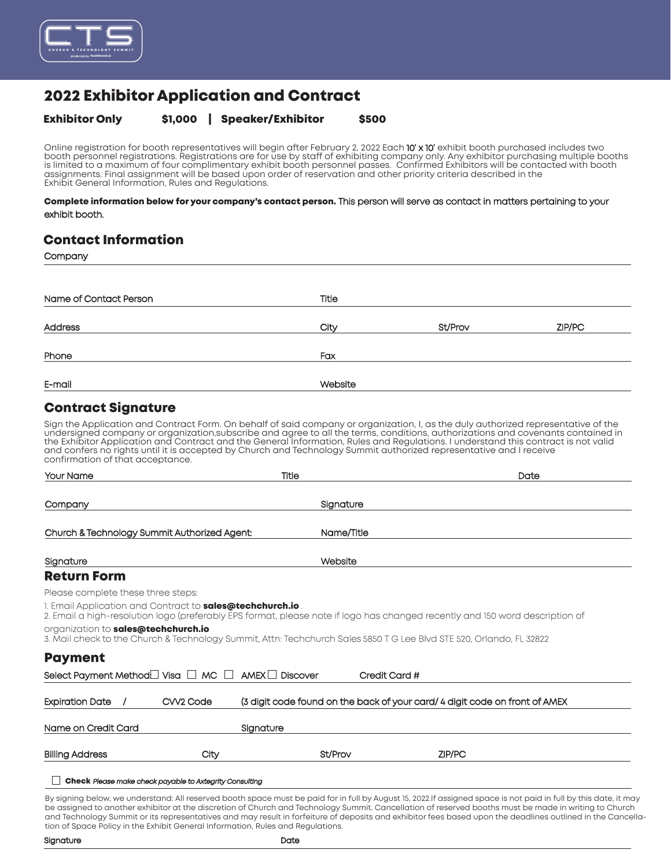

# 2022 Exhibitor Application and Contract

#### Exhibitor Only \$1,000 | Speaker/Exhibitor \$500

Online registration for booth representatives will begin after February 2, 2022 Each **10' x 10'** exhibit booth purchased includes two<br>booth personnel registrations. Registrations are for use by staff of exhibiting company is limited to a maximum of four complimentary exhibit booth personnel passes. Confirmed Exhibitors will be contacted with booth assignments. Final assignment will be based upon order of reservation and other priority criteria described in the Exhibit General Information, Rules and Regulations.

#### Complete information below for your company's contact person. This person will serve as contact in matters pertaining to your exhibit booth.

### Contact Information

**Company** 

| Name of Contact Person                                                                                                                                                                                                                                                                                                                                                                                                                                                                                                                                                 | Title                                                                       |               |        |
|------------------------------------------------------------------------------------------------------------------------------------------------------------------------------------------------------------------------------------------------------------------------------------------------------------------------------------------------------------------------------------------------------------------------------------------------------------------------------------------------------------------------------------------------------------------------|-----------------------------------------------------------------------------|---------------|--------|
| Address                                                                                                                                                                                                                                                                                                                                                                                                                                                                                                                                                                | City                                                                        | St/Prov       | ZIP/PC |
|                                                                                                                                                                                                                                                                                                                                                                                                                                                                                                                                                                        |                                                                             |               |        |
| Phone                                                                                                                                                                                                                                                                                                                                                                                                                                                                                                                                                                  | Fax                                                                         |               |        |
| E-mail                                                                                                                                                                                                                                                                                                                                                                                                                                                                                                                                                                 | Website                                                                     |               |        |
| <b>Contract Signature</b>                                                                                                                                                                                                                                                                                                                                                                                                                                                                                                                                              |                                                                             |               |        |
| Sign the Application and Contract Form. On behalf of said company or organization, I, as the duly authorized representative of the<br>undersigned company or organization, subscribe and agree to all the terms, conditions, authorizations and covenants contained in<br>the Exhibitor Application and Contract and the General Information, Rules and Regulations. I understand this contract is not valid<br>and confers no rights until it is accepted by Church and Technology Summit authorized representative and I receive<br>confirmation of that acceptance. |                                                                             |               |        |
| Your Name                                                                                                                                                                                                                                                                                                                                                                                                                                                                                                                                                              | Title                                                                       |               | Date   |
| Company                                                                                                                                                                                                                                                                                                                                                                                                                                                                                                                                                                | Signature                                                                   |               |        |
| Church & Technology Summit Authorized Agent:                                                                                                                                                                                                                                                                                                                                                                                                                                                                                                                           | Name/Title                                                                  |               |        |
| Signature                                                                                                                                                                                                                                                                                                                                                                                                                                                                                                                                                              | Website                                                                     |               |        |
| <b>Return Form</b>                                                                                                                                                                                                                                                                                                                                                                                                                                                                                                                                                     |                                                                             |               |        |
| Please complete these three steps:                                                                                                                                                                                                                                                                                                                                                                                                                                                                                                                                     |                                                                             |               |        |
| 1. Email Application and Contract to <b>sales@techchurch.io</b> .<br>2. Email a high-resolution logo (preferably EPS format, please note if logo has changed recently and 150 word description of                                                                                                                                                                                                                                                                                                                                                                      |                                                                             |               |        |
| organization to sales@techchurch.io<br>3. Mail check to the Church & Technology Summit, Attn: Techchurch Sales 5850 T G Lee Blvd STE 520, Orlando, FL 32822                                                                                                                                                                                                                                                                                                                                                                                                            |                                                                             |               |        |
| <b>Payment</b>                                                                                                                                                                                                                                                                                                                                                                                                                                                                                                                                                         |                                                                             |               |        |
| Select Payment Method $\Box$ Visa $\Box$ MC $\Box$                                                                                                                                                                                                                                                                                                                                                                                                                                                                                                                     | $AMEX \Box$ Discover                                                        | Credit Card # |        |
| CVV <sub>2</sub> Code<br><b>Expiration Date</b>                                                                                                                                                                                                                                                                                                                                                                                                                                                                                                                        | (3 digit code found on the back of your card/ 4 digit code on front of AMEX |               |        |
| Name on Credit Card                                                                                                                                                                                                                                                                                                                                                                                                                                                                                                                                                    | Signature                                                                   |               |        |
| City<br>Billing Address                                                                                                                                                                                                                                                                                                                                                                                                                                                                                                                                                | St/Prov                                                                     | ZIP/PC        |        |

Check Please make check payable to Axtegrity Consulting

By signing below, we understand: All reserved booth space must be paid for in full by August 15, 2022.If assigned space is not paid in full by this date, it may be assigned to another exhibitor at the discretion of Church and Technology Summit. Cancellation of reserved booths must be made in writing to Church and Technology Summit or its representatives and may result in forfeiture of deposits and exhibitor fees based upon the deadlines outlined in the Cancellation of Space Policy in the Exhibit General Information, Rules and Regulations.